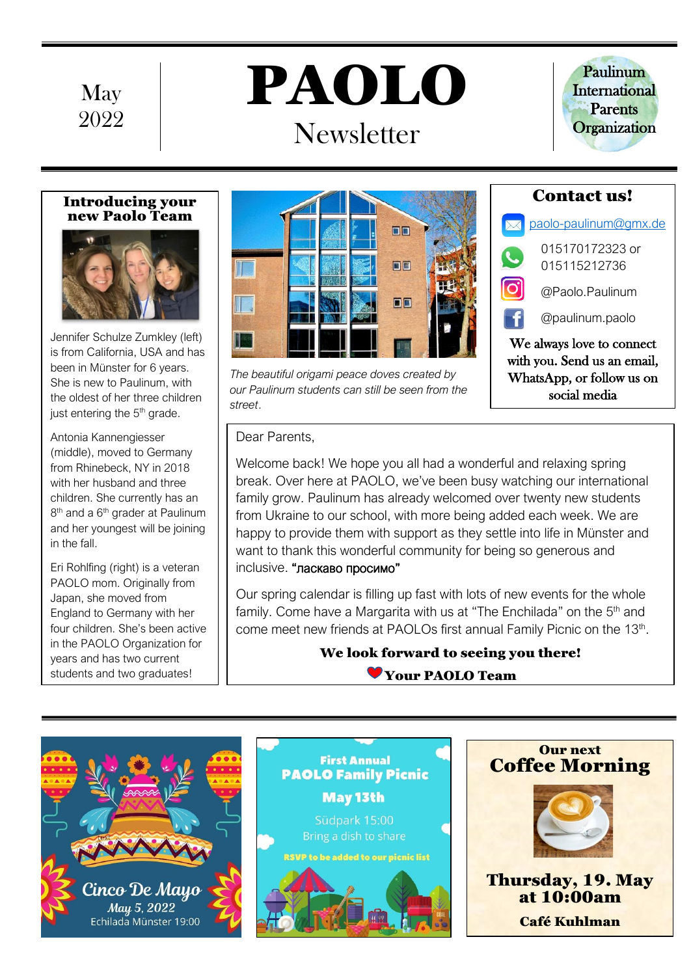

# PAOLO **Newsletter**



#### Introducing your new Paolo Team



Jennifer Schulze Zumkley (left) is from California, USA and has been in Münster for 6 years. She is new to Paulinum, with the oldest of her three children just entering the 5<sup>th</sup> grade.

Antonia Kannengiesser (middle), moved to Germany from Rhinebeck, NY in 2018 with her husband and three children. She currently has an 8<sup>th</sup> and a 6<sup>th</sup> grader at Paulinum and her youngest will be joining in the fall.

Eri Rohlfing (right) is a veteran PAOLO mom. Originally from Japan, she moved from England to Germany with her four children. She's been active in the PAOLO Organization for years and has two current students and two graduates!



*The beautiful origami peace doves created by our Paulinum students can still be seen from the street*.

Dear Parents,

Welcome back! We hope you all had a wonderful and relaxing spring break. Over here at PAOLO, we've been busy watching our international family grow. Paulinum has already welcomed over twenty new students from Ukraine to our school, with more being added each week. We are happy to provide them with support as they settle into life in Münster and want to thank this wonderful community for being so generous and inclusive. "ласкаво просимо"

Our spring calendar is filling up fast with lots of new events for the whole family. Come have a Margarita with us at "The Enchilada" on the 5<sup>th</sup> and come meet new friends at PAOLOs first annual Family Picnic on the 13<sup>th</sup>.

## We look forward to seeing you there!

Your PAOLO Team





**First Annual** 

#### Our next Coffee Morning



Thursday, 19. May at 10:00am Café Kuhlman

 $\times$  [paolo-paulinum@gmx.de](mailto:paolo-paulinum@gmx.de) 015170172323 or

015115212736

Contact us!

@Paolo.Paulinum

@paulinum.paolo

We always love to connect with you. Send us an email, WhatsApp, or follow us on social media